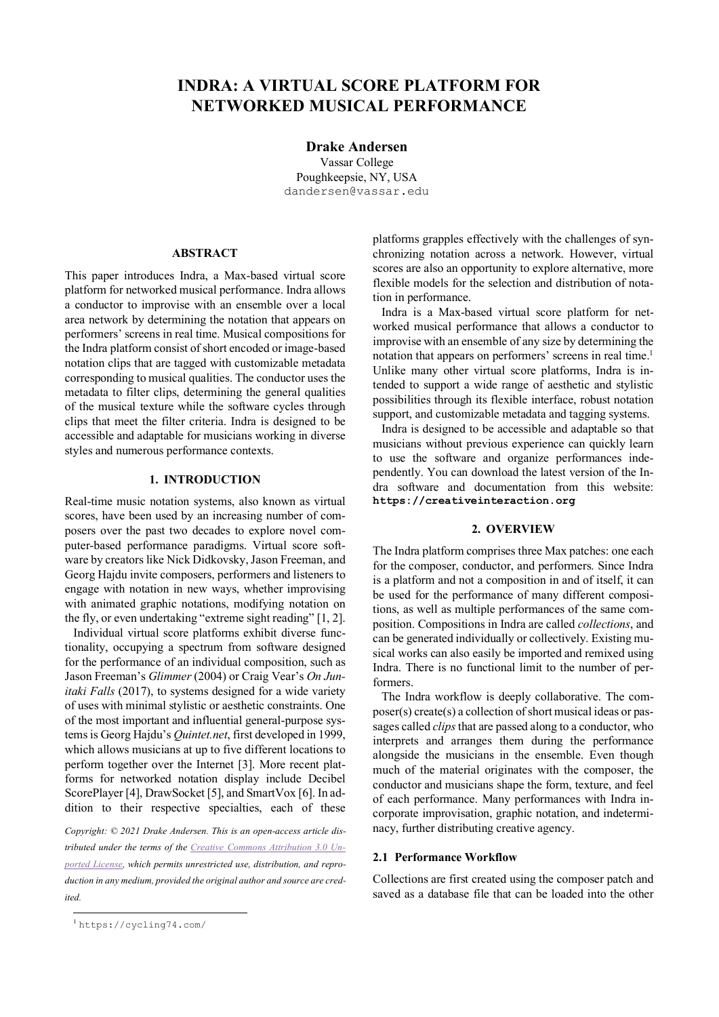# **INDRA: A VIRTUAL SCORE PLATFORM FOR NETWORKED MUSICAL PERFORMANCE**

**Drake Andersen**

Vassar College Poughkeepsie, NY, USA dandersen@vassar.edu

#### **ABSTRACT**

This paper introduces Indra, a Max-based virtual score platform for networked musical performance. Indra allows a conductor to improvise with an ensemble over a local area network by determining the notation that appears on performers' screens in real time. Musical compositions for the Indra platform consist of short encoded or image-based notation clips that are tagged with customizable metadata corresponding to musical qualities. The conductor uses the metadata to filter clips, determining the general qualities of the musical texture while the software cycles through clips that meet the filter criteria. Indra is designed to be accessible and adaptable for musicians working in diverse styles and numerous performance contexts.

# **1. INTRODUCTION**

Real-time music notation systems, also known as virtual scores, have been used by an increasing number of composers over the past two decades to explore novel computer-based performance paradigms. Virtual score software by creators like Nick Didkovsky, Jason Freeman, and Georg Hajdu invite composers, performers and listeners to engage with notation in new ways, whether improvising with animated graphic notations, modifying notation on the fly, or even undertaking "extreme sight reading" [1, 2].

Individual virtual score platforms exhibit diverse functionality, occupying a spectrum from software designed for the performance of an individual composition, such as Jason Freeman's *Glimmer* (2004) or Craig Vear's *On Junitaki Falls* (2017), to systems designed for a wide variety of uses with minimal stylistic or aesthetic constraints. One of the most important and influential general-purpose systems is Georg Hajdu's *Quintet.net*, first developed in 1999, which allows musicians at up to five different locations to perform together over the Internet [3]. More recent platforms for networked notation display include Decibel ScorePlayer [4], DrawSocket [5], and SmartVox [6]. In addition to their respective specialties, each of these

*Copyright: © 2021 Drake Andersen. This is an open-access article distributed under the terms of the Creative Commons Attribution 3.0 Unported License, which permits unrestricted use, distribution, and reproduction in any medium, provided the original author and source are credited.*

platforms grapples effectively with the challenges of synchronizing notation across a network. However, virtual scores are also an opportunity to explore alternative, more flexible models for the selection and distribution of notation in performance.

Indra is a Max-based virtual score platform for networked musical performance that allows a conductor to improvise with an ensemble of any size by determining the notation that appears on performers' screens in real time.<sup>1</sup> Unlike many other virtual score platforms, Indra is intended to support a wide range of aesthetic and stylistic possibilities through its flexible interface, robust notation support, and customizable metadata and tagging systems.

Indra is designed to be accessible and adaptable so that musicians without previous experience can quickly learn to use the software and organize performances independently. You can download the latest version of the Indra software and documentation from this website: **https://creativeinteraction.org**

# **2. OVERVIEW**

The Indra platform comprises three Max patches: one each for the composer, conductor, and performers. Since Indra is a platform and not a composition in and of itself, it can be used for the performance of many different compositions, as well as multiple performances of the same composition. Compositions in Indra are called *collections*, and can be generated individually or collectively. Existing musical works can also easily be imported and remixed using Indra. There is no functional limit to the number of performers.

The Indra workflow is deeply collaborative. The composer(s) create(s) a collection of short musical ideas or passages called *clips*that are passed along to a conductor, who interprets and arranges them during the performance alongside the musicians in the ensemble. Even though much of the material originates with the composer, the conductor and musicians shape the form, texture, and feel of each performance. Many performances with Indra incorporate improvisation, graphic notation, and indeterminacy, further distributing creative agency.

#### **2.1 Performance Workflow**

Collections are first created using the composer patch and saved as a database file that can be loaded into the other

 <sup>1</sup> https://cycling74.com/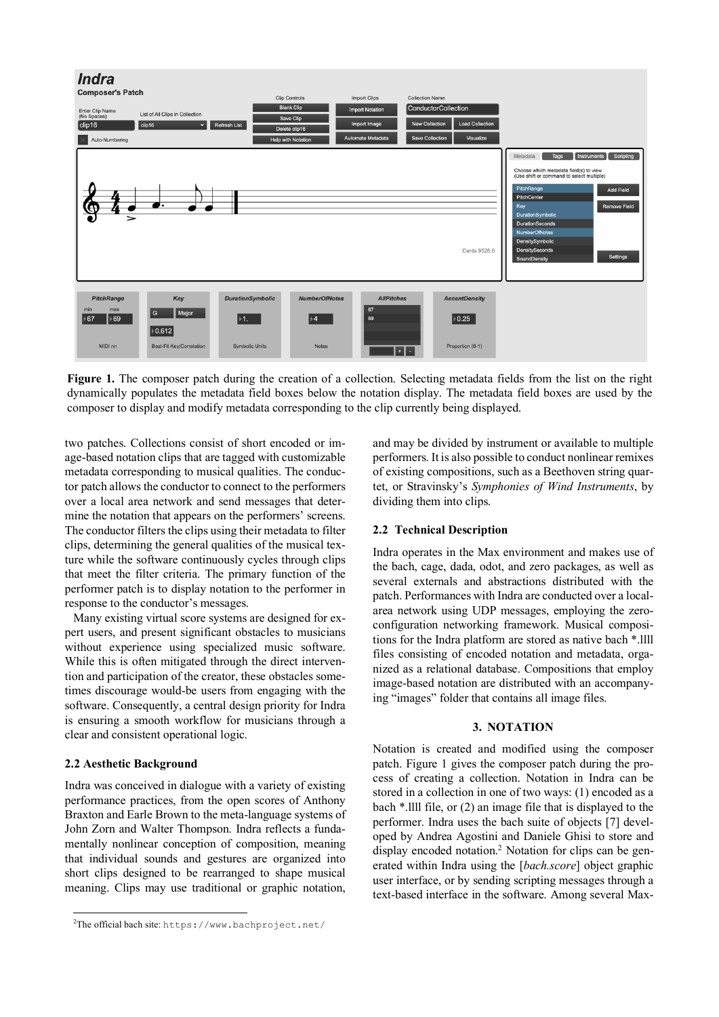

Figure 1. The composer patch during the creation of a collection. Selecting metadata fields from the list on the right dynamically populates the metadata field boxes below the notation display. The metadata field boxes are used by the composer to display and modify metadata corresponding to the clip currently being displayed.

two patches. Collections consist of short encoded or image-based notation clips that are tagged with customizable metadata corresponding to musical qualities. The conductor patch allows the conductor to connect to the performers over a local area network and send messages that determine the notation that appears on the performers' screens. The conductor filters the clips using their metadata to filter clips, determining the general qualities of the musical texture while the software continuously cycles through clips that meet the filter criteria. The primary function of the performer patch is to display notation to the performer in response to the conductor's messages.

Many existing virtual score systems are designed for expert users, and present significant obstacles to musicians without experience using specialized music software. While this is often mitigated through the direct intervention and participation of the creator, these obstacles sometimes discourage would-be users from engaging with the software. Consequently, a central design priority for Indra is ensuring a smooth workflow for musicians through a clear and consistent operational logic.

#### **2.2 Aesthetic Background**

Indra was conceived in dialogue with a variety of existing performance practices, from the open scores of Anthony Braxton and Earle Brown to the meta-language systems of John Zorn and Walter Thompson. Indra reflects a fundamentally nonlinear conception of composition, meaning that individual sounds and gestures are organized into short clips designed to be rearranged to shape musical meaning. Clips may use traditional or graphic notation,

and may be divided by instrument or available to multiple performers. It is also possible to conduct nonlinear remixes of existing compositions, such as a Beethoven string quartet, or Stravinsky's *Symphonies of Wind Instruments*, by dividing them into clips.

## **2.2 Technical Description**

Indra operates in the Max environment and makes use of the bach, cage, dada, odot, and zero packages, as well as several externals and abstractions distributed with the patch. Performances with Indra are conducted over a localarea network using UDP messages, employing the zeroconfiguration networking framework. Musical compositions for the Indra platform are stored as native bach \*.llll files consisting of encoded notation and metadata, organized as a relational database. Compositions that employ image-based notation are distributed with an accompanying "images" folder that contains all image files.

## **3. NOTATION**

Notation is created and modified using the composer patch. Figure 1 gives the composer patch during the process of creating a collection. Notation in Indra can be stored in a collection in one of two ways: (1) encoded as a bach \*.llll file, or (2) an image file that is displayed to the performer. Indra uses the bach suite of objects [7] developed by Andrea Agostini and Daniele Ghisi to store and display encoded notation.<sup>2</sup> Notation for clips can be generated within Indra using the [*bach.score*] object graphic user interface, or by sending scripting messages through a text-based interface in the software. Among several Max-

 $\frac{1}{2}$ <sup>2</sup>The official bach site: https://www.bachproject.net/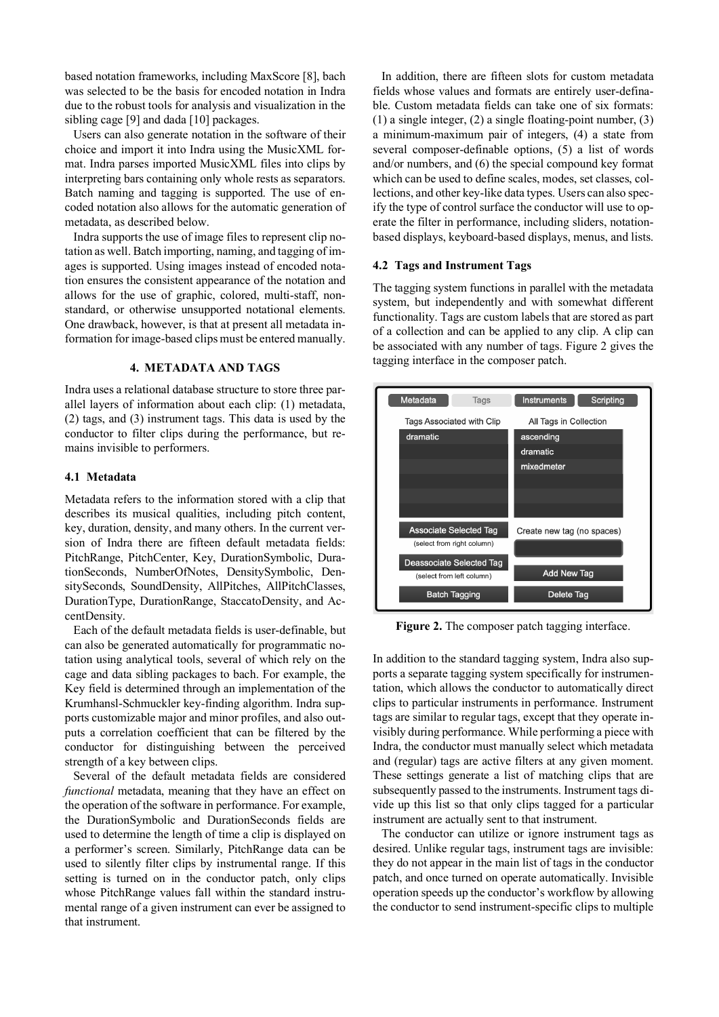based notation frameworks, including MaxScore [8], bach was selected to be the basis for encoded notation in Indra due to the robust tools for analysis and visualization in the sibling cage [9] and dada [10] packages.

Users can also generate notation in the software of their choice and import it into Indra using the MusicXML format. Indra parses imported MusicXML files into clips by interpreting bars containing only whole rests as separators. Batch naming and tagging is supported. The use of encoded notation also allows for the automatic generation of metadata, as described below.

Indra supports the use of image files to represent clip notation as well. Batch importing, naming, and tagging of images is supported. Using images instead of encoded notation ensures the consistent appearance of the notation and allows for the use of graphic, colored, multi-staff, nonstandard, or otherwise unsupported notational elements. One drawback, however, is that at present all metadata information for image-based clips must be entered manually.

# **4. METADATA AND TAGS**

Indra uses a relational database structure to store three parallel layers of information about each clip: (1) metadata, (2) tags, and (3) instrument tags. This data is used by the conductor to filter clips during the performance, but remains invisible to performers.

#### **4.1 Metadata**

Metadata refers to the information stored with a clip that describes its musical qualities, including pitch content, key, duration, density, and many others. In the current version of Indra there are fifteen default metadata fields: PitchRange, PitchCenter, Key, DurationSymbolic, DurationSeconds, NumberOfNotes, DensitySymbolic, DensitySeconds, SoundDensity, AllPitches, AllPitchClasses, DurationType, DurationRange, StaccatoDensity, and AccentDensity.

Each of the default metadata fields is user-definable, but can also be generated automatically for programmatic notation using analytical tools, several of which rely on the cage and data sibling packages to bach. For example, the Key field is determined through an implementation of the Krumhansl-Schmuckler key-finding algorithm. Indra supports customizable major and minor profiles, and also outputs a correlation coefficient that can be filtered by the conductor for distinguishing between the perceived strength of a key between clips.

Several of the default metadata fields are considered *functional* metadata, meaning that they have an effect on the operation of the software in performance. For example, the DurationSymbolic and DurationSeconds fields are used to determine the length of time a clip is displayed on a performer's screen. Similarly, PitchRange data can be used to silently filter clips by instrumental range. If this setting is turned on in the conductor patch, only clips whose PitchRange values fall within the standard instrumental range of a given instrument can ever be assigned to that instrument.

In addition, there are fifteen slots for custom metadata fields whose values and formats are entirely user-definable. Custom metadata fields can take one of six formats: (1) a single integer, (2) a single floating-point number, (3) a minimum-maximum pair of integers, (4) a state from several composer-definable options, (5) a list of words and/or numbers, and (6) the special compound key format which can be used to define scales, modes, set classes, collections, and other key-like data types. Users can also specify the type of control surface the conductor will use to operate the filter in performance, including sliders, notationbased displays, keyboard-based displays, menus, and lists.

## **4.2 Tags and Instrument Tags**

The tagging system functions in parallel with the metadata system, but independently and with somewhat different functionality. Tags are custom labels that are stored as part of a collection and can be applied to any clip. A clip can be associated with any number of tags. Figure 2 gives the tagging interface in the composer patch.



**Figure 2.** The composer patch tagging interface.

In addition to the standard tagging system, Indra also supports a separate tagging system specifically for instrumentation, which allows the conductor to automatically direct clips to particular instruments in performance. Instrument tags are similar to regular tags, except that they operate invisibly during performance. While performing a piece with Indra, the conductor must manually select which metadata and (regular) tags are active filters at any given moment. These settings generate a list of matching clips that are subsequently passed to the instruments. Instrument tags divide up this list so that only clips tagged for a particular instrument are actually sent to that instrument.

The conductor can utilize or ignore instrument tags as desired. Unlike regular tags, instrument tags are invisible: they do not appear in the main list of tags in the conductor patch, and once turned on operate automatically. Invisible operation speeds up the conductor's workflow by allowing the conductor to send instrument-specific clips to multiple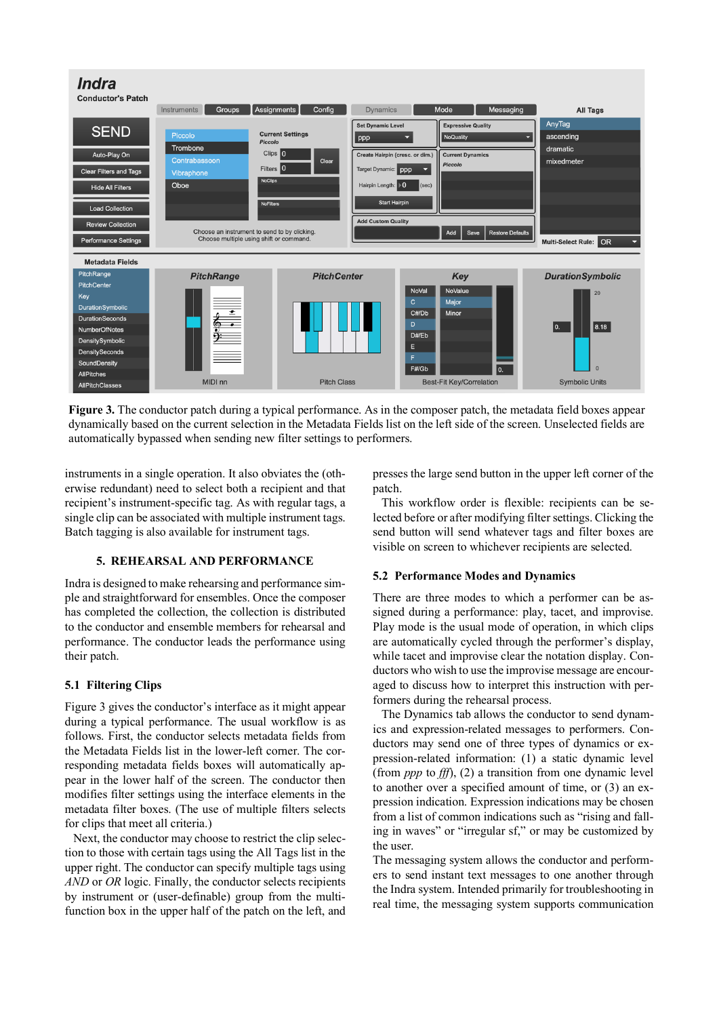

**Figure 3.** The conductor patch during a typical performance. As in the composer patch, the metadata field boxes appear dynamically based on the current selection in the Metadata Fields list on the left side of the screen. Unselected fields are automatically bypassed when sending new filter settings to performers.

instruments in a single operation. It also obviates the (otherwise redundant) need to select both a recipient and that recipient's instrument-specific tag. As with regular tags, a single clip can be associated with multiple instrument tags. Batch tagging is also available for instrument tags.

# **5. REHEARSAL AND PERFORMANCE**

Indra is designed to make rehearsing and performance simple and straightforward for ensembles. Once the composer has completed the collection, the collection is distributed to the conductor and ensemble members for rehearsal and performance. The conductor leads the performance using their patch.

# **5.1 Filtering Clips**

Figure 3 gives the conductor's interface as it might appear during a typical performance. The usual workflow is as follows. First, the conductor selects metadata fields from the Metadata Fields list in the lower-left corner. The corresponding metadata fields boxes will automatically appear in the lower half of the screen. The conductor then modifies filter settings using the interface elements in the metadata filter boxes. (The use of multiple filters selects for clips that meet all criteria.)

Next, the conductor may choose to restrict the clip selection to those with certain tags using the All Tags list in the upper right. The conductor can specify multiple tags using *AND* or *OR* logic. Finally, the conductor selects recipients by instrument or (user-definable) group from the multifunction box in the upper half of the patch on the left, and presses the large send button in the upper left corner of the patch.

This workflow order is flexible: recipients can be selected before or after modifying filter settings. Clicking the send button will send whatever tags and filter boxes are visible on screen to whichever recipients are selected.

#### **5.2 Performance Modes and Dynamics**

There are three modes to which a performer can be assigned during a performance: play, tacet, and improvise. Play mode is the usual mode of operation, in which clips are automatically cycled through the performer's display, while tacet and improvise clear the notation display. Conductors who wish to use the improvise message are encouraged to discuss how to interpret this instruction with performers during the rehearsal process.

The Dynamics tab allows the conductor to send dynamics and expression-related messages to performers. Conductors may send one of three types of dynamics or expression-related information: (1) a static dynamic level (from *ppp* to *fff*), (2) a transition from one dynamic level to another over a specified amount of time, or (3) an expression indication. Expression indications may be chosen from a list of common indications such as "rising and falling in waves" or "irregular sf," or may be customized by the user.

The messaging system allows the conductor and performers to send instant text messages to one another through the Indra system. Intended primarily for troubleshooting in real time, the messaging system supports communication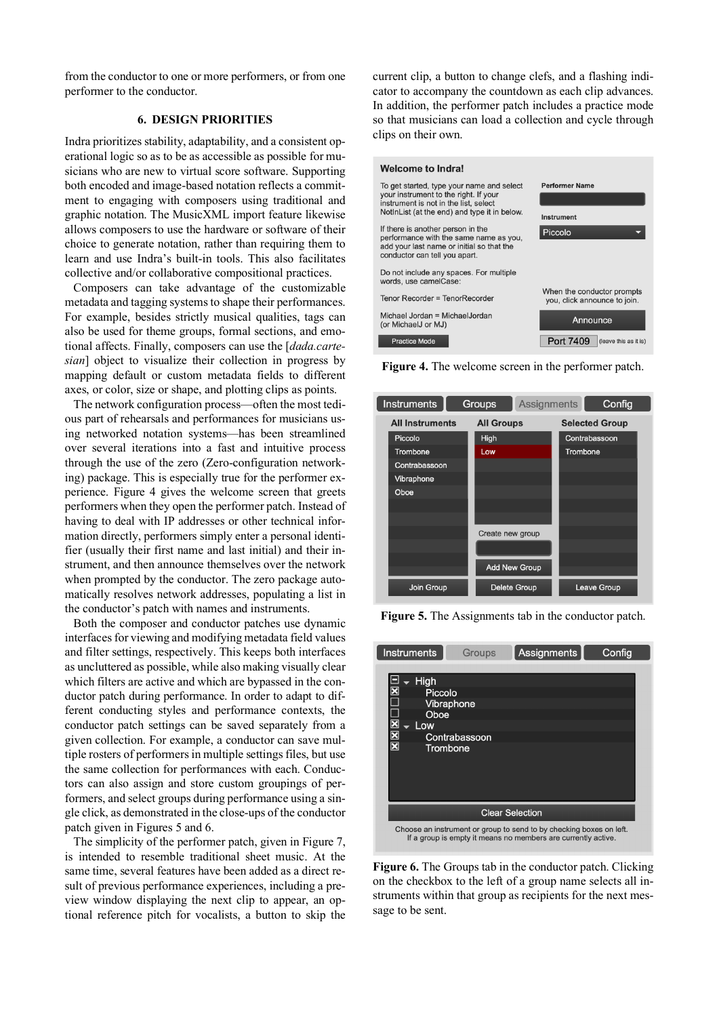from the conductor to one or more performers, or from one performer to the conductor.

# **6. DESIGN PRIORITIES**

Indra prioritizes stability, adaptability, and a consistent operational logic so as to be as accessible as possible for musicians who are new to virtual score software. Supporting both encoded and image-based notation reflects a commitment to engaging with composers using traditional and graphic notation. The MusicXML import feature likewise allows composers to use the hardware or software of their choice to generate notation, rather than requiring them to learn and use Indra's built-in tools. This also facilitates collective and/or collaborative compositional practices.

Composers can take advantage of the customizable metadata and tagging systems to shape their performances. For example, besides strictly musical qualities, tags can also be used for theme groups, formal sections, and emotional affects. Finally, composers can use the [*dada.cartesian*] object to visualize their collection in progress by mapping default or custom metadata fields to different axes, or color, size or shape, and plotting clips as points.

The network configuration process—often the most tedious part of rehearsals and performances for musicians using networked notation systems—has been streamlined over several iterations into a fast and intuitive process through the use of the zero (Zero-configuration networking) package. This is especially true for the performer experience. Figure 4 gives the welcome screen that greets performers when they open the performer patch. Instead of having to deal with IP addresses or other technical information directly, performers simply enter a personal identifier (usually their first name and last initial) and their instrument, and then announce themselves over the network when prompted by the conductor. The zero package automatically resolves network addresses, populating a list in the conductor's patch with names and instruments.

Both the composer and conductor patches use dynamic interfaces for viewing and modifying metadata field values and filter settings, respectively. This keeps both interfaces as uncluttered as possible, while also making visually clear which filters are active and which are bypassed in the conductor patch during performance. In order to adapt to different conducting styles and performance contexts, the conductor patch settings can be saved separately from a given collection. For example, a conductor can save multiple rosters of performers in multiple settings files, but use the same collection for performances with each. Conductors can also assign and store custom groupings of performers, and select groups during performance using a single click, as demonstrated in the close-ups of the conductor patch given in Figures 5 and 6.

The simplicity of the performer patch, given in Figure 7, is intended to resemble traditional sheet music. At the same time, several features have been added as a direct result of previous performance experiences, including a preview window displaying the next clip to appear, an optional reference pitch for vocalists, a button to skip the

current clip, a button to change clefs, and a flashing indicator to accompany the countdown as each clip advances. In addition, the performer patch includes a practice mode so that musicians can load a collection and cycle through clips on their own.



**Figure 4.** The welcome screen in the performer patch.



**Figure 5.** The Assignments tab in the conductor patch.

| <b>Instruments</b>                                                                                               | Groups        | Assignments | Config |
|------------------------------------------------------------------------------------------------------------------|---------------|-------------|--------|
| High<br>$\overline{\mathbf{x}}$<br>Piccolo<br>Vibraphone<br>Oboe<br>$ \mathbf{X} \mathbf{X} $<br>Low<br>Trombone | Contrabassoon |             |        |
| <b>Clear Selection</b>                                                                                           |               |             |        |
| Choose an instrument or group to send to by checking boxes on left.                                              |               |             |        |



**Figure 6.** The Groups tab in the conductor patch. Clicking on the checkbox to the left of a group name selects all instruments within that group as recipients for the next message to be sent.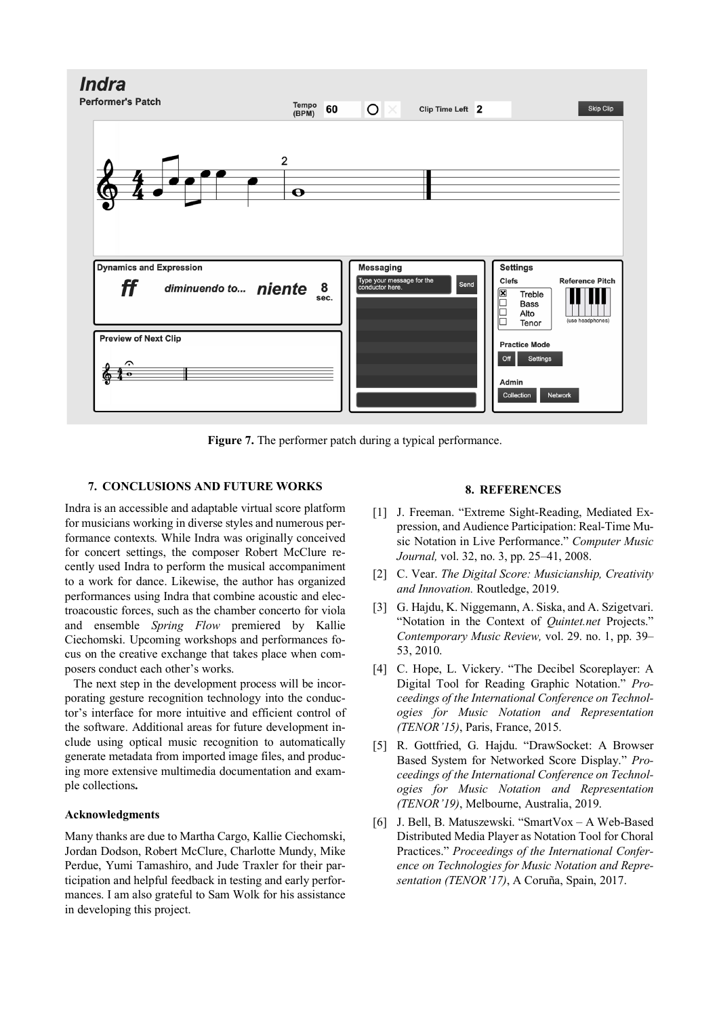

**Figure 7.** The performer patch during a typical performance.

# **7. CONCLUSIONS AND FUTURE WORKS**

Indra is an accessible and adaptable virtual score platform for musicians working in diverse styles and numerous performance contexts. While Indra was originally conceived for concert settings, the composer Robert McClure recently used Indra to perform the musical accompaniment to a work for dance. Likewise, the author has organized performances using Indra that combine acoustic and electroacoustic forces, such as the chamber concerto for viola and ensemble *Spring Flow* premiered by Kallie Ciechomski. Upcoming workshops and performances focus on the creative exchange that takes place when composers conduct each other's works.

The next step in the development process will be incorporating gesture recognition technology into the conductor's interface for more intuitive and efficient control of the software. Additional areas for future development include using optical music recognition to automatically generate metadata from imported image files, and producing more extensive multimedia documentation and example collections**.**

# **Acknowledgments**

Many thanks are due to Martha Cargo, Kallie Ciechomski, Jordan Dodson, Robert McClure, Charlotte Mundy, Mike Perdue, Yumi Tamashiro, and Jude Traxler for their participation and helpful feedback in testing and early performances. I am also grateful to Sam Wolk for his assistance in developing this project.

#### **8. REFERENCES**

- [1] J. Freeman. "Extreme Sight-Reading, Mediated Expression, and Audience Participation: Real-Time Music Notation in Live Performance." *Computer Music Journal,* vol. 32, no. 3, pp. 25–41, 2008.
- [2] C. Vear. *The Digital Score: Musicianship, Creativity and Innovation.* Routledge, 2019.
- [3] G. Hajdu, K. Niggemann, A. Siska, and A. Szigetvari. "Notation in the Context of *Quintet.net* Projects." *Contemporary Music Review,* vol. 29. no. 1, pp. 39– 53, 2010.
- [4] C. Hope, L. Vickery. "The Decibel Scoreplayer: A Digital Tool for Reading Graphic Notation." *Proceedings of the International Conference on Technologies for Music Notation and Representation (TENOR'15)*, Paris, France, 2015.
- [5] R. Gottfried, G. Hajdu. "DrawSocket: A Browser Based System for Networked Score Display." *Proceedings of the International Conference on Technologies for Music Notation and Representation (TENOR'19)*, Melbourne, Australia, 2019.
- [6] J. Bell, B. Matuszewski. "SmartVox A Web-Based Distributed Media Player as Notation Tool for Choral Practices." *Proceedings of the International Conference on Technologies for Music Notation and Representation (TENOR'17)*, A Coruña, Spain, 2017.